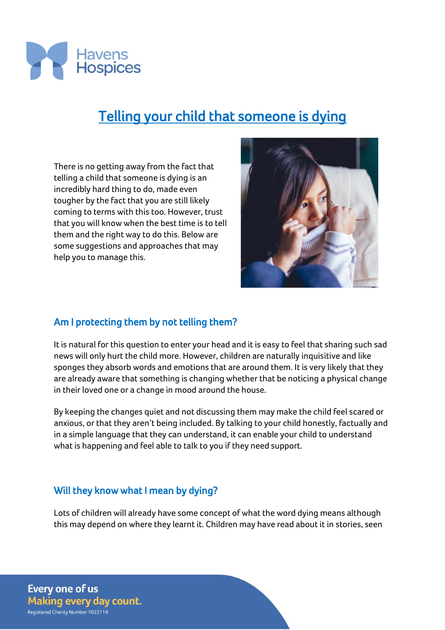

# Telling your child that someone is dying

There is no getting away from the fact that telling a child that someone is dying is an incredibly hard thing to do, made even tougher by the fact that you are still likely coming to terms with this too. However, trust that you will know when the best time is to tell them and the right way to do this. Below are some suggestions and approaches that may help you to manage this.



## Am I protecting them by not telling them?

It is natural for this question to enter your head and it is easy to feel that sharing such sad news will only hurt the child more. However, children are naturally inquisitive and like sponges they absorb words and emotions that are around them. It is very likely that they are already aware that something is changing whether that be noticing a physical change in their loved one or a change in mood around the house.

By keeping the changes quiet and not discussing them may make the child feel scared or anxious, or that they aren't being included. By talking to your child honestly, factually and in a simple language that they can understand, it can enable your child to understand what is happening and feel able to talk to you if they need support.

#### Will they know what I mean by dying?

Lots of children will already have some concept of what the word dying means although this may depend on where they learnt it. Children may have read about it in stories, seen

**Every one of us Making every day count.** Registered Charity Number 1022119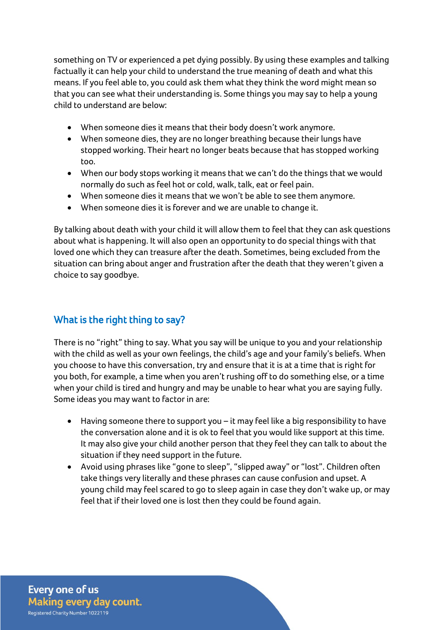something on TV or experienced a pet dying possibly. By using these examples and talking factually it can help your child to understand the true meaning of death and what this means. If you feel able to, you could ask them what they think the word might mean so that you can see what their understanding is. Some things you may say to help a young child to understand are below:

- When someone dies it means that their body doesn't work anymore.
- When someone dies, they are no longer breathing because their lungs have stopped working. Their heart no longer beats because that has stopped working too.
- When our body stops working it means that we can't do the things that we would normally do such as feel hot or cold, walk, talk, eat or feel pain.
- When someone dies it means that we won't be able to see them anymore.
- When someone dies it is forever and we are unable to change it.

By talking about death with your child it will allow them to feel that they can ask questions about what is happening. It will also open an opportunity to do special things with that loved one which they can treasure after the death. Sometimes, being excluded from the situation can bring about anger and frustration after the death that they weren't given a choice to say goodbye.

# What is the right thing to say?

There is no "right" thing to say. What you say will be unique to you and your relationship with the child as well as your own feelings, the child's age and your family's beliefs. When you choose to have this conversation, try and ensure that it is at a time that is right for you both, for example, a time when you aren't rushing off to do something else, or a time when your child is tired and hungry and may be unable to hear what you are saying fully. Some ideas you may want to factor in are:

- Having someone there to support you it may feel like a big responsibility to have the conversation alone and it is ok to feel that you would like support at this time. It may also give your child another person that they feel they can talk to about the situation if they need support in the future.
- Avoid using phrases like "gone to sleep", "slipped away" or "lost". Children often take things very literally and these phrases can cause confusion and upset. A young child may feel scared to go to sleep again in case they don't wake up, or may feel that if their loved one is lost then they could be found again.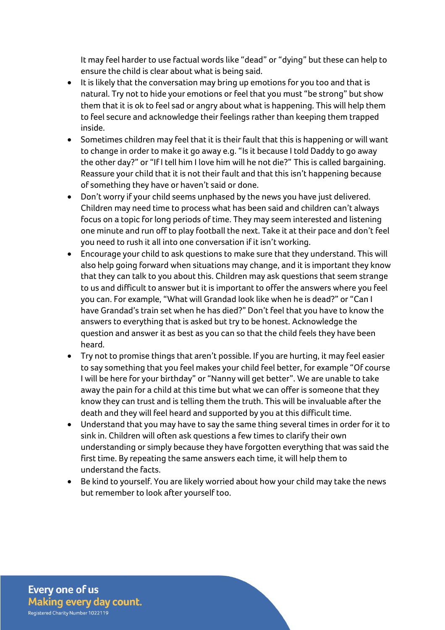It may feel harder to use factual words like "dead" or "dying" but these can help to ensure the child is clear about what is being said.

- It is likely that the conversation may bring up emotions for you too and that is natural. Try not to hide your emotions or feel that you must "be strong" but show them that it is ok to feel sad or angry about what is happening. This will help them to feel secure and acknowledge their feelings rather than keeping them trapped inside.
- Sometimes children may feel that it is their fault that this is happening or will want to change in order to make it go away e.g. "Is it because I told Daddy to go away the other day?" or "If I tell him I love him will he not die?" This is called bargaining. Reassure your child that it is not their fault and that this isn't happening because of something they have or haven't said or done.
- Don't worry if your child seems unphased by the news you have just delivered. Children may need time to process what has been said and children can't always focus on a topic for long periods of time. They may seem interested and listening one minute and run off to play football the next. Take it at their pace and don't feel you need to rush it all into one conversation if it isn't working.
- Encourage your child to ask questions to make sure that they understand. This will also help going forward when situations may change, and it is important they know that they can talk to you about this. Children may ask questions that seem strange to us and difficult to answer but it is important to offer the answers where you feel you can. For example, "What will Grandad look like when he is dead?" or "Can I have Grandad's train set when he has died?" Don't feel that you have to know the answers to everything that is asked but try to be honest. Acknowledge the question and answer it as best as you can so that the child feels they have been heard.
- Try not to promise things that aren't possible. If you are hurting, it may feel easier to say something that you feel makes your child feel better, for example "Of course I will be here for your birthday" or "Nanny will get better". We are unable to take away the pain for a child at this time but what we can offer is someone that they know they can trust and is telling them the truth. This will be invaluable after the death and they will feel heard and supported by you at this difficult time.
- Understand that you may have to say the same thing several times in order for it to sink in. Children will often ask questions a few times to clarify their own understanding or simply because they have forgotten everything that was said the first time. By repeating the same answers each time, it will help them to understand the facts.
- Be kind to yourself. You are likely worried about how your child may take the news but remember to look after yourself too.